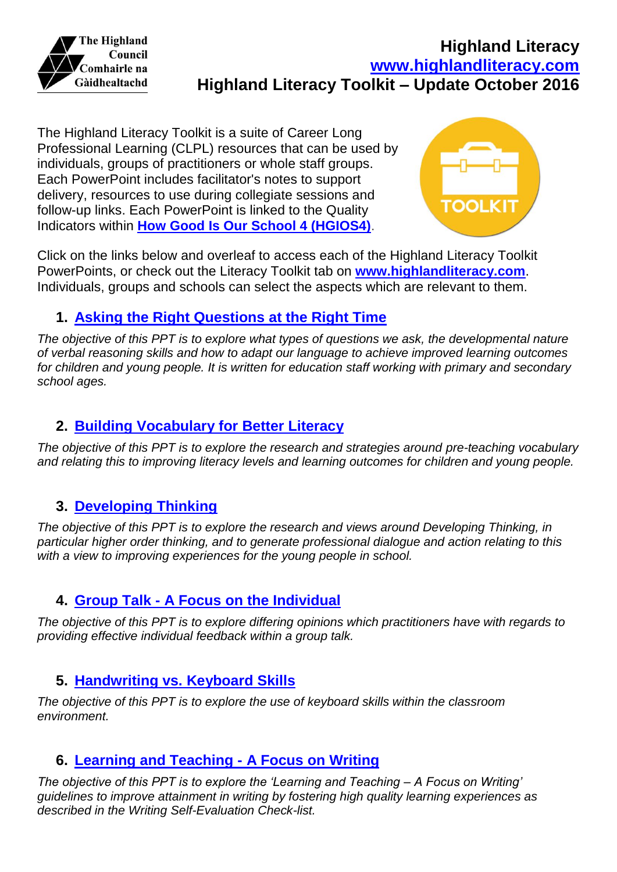

The Highland Literacy Toolkit is a suite of Career Long Professional Learning (CLPL) resources that can be used by individuals, groups of practitioners or whole staff groups. Each PowerPoint includes facilitator's notes to support delivery, resources to use during collegiate sessions and follow-up links. Each PowerPoint is linked to the Quality Indicators within **[How Good Is Our School 4 \(HGIOS4\)](http://www.educationscotland.gov.uk/resources/h/hgios4/introduction.asp)**.



Click on the links below and overleaf to access each of the Highland Literacy Toolkit PowerPoints, or check out the Literacy Toolkit tab on **[www.highlandliteracy.com](http://www.highlandliteracy.com/)**. Individuals, groups and schools can select the aspects which are relevant to them.

## **1. [Asking the Right Questions at the Right Time](https://highlandliteracy.com/asking-the-right-questions-at-the-right-time/)**

*The objective of this PPT is to explore what types of questions we ask, the developmental nature of verbal reasoning skills and how to adapt our language to achieve improved learning outcomes for children and young people. It is written for education staff working with primary and secondary school ages.*

### **2. [Building Vocabulary for Better Literacy](https://highlandliteracy.com/building-vocabulary-for-better-literacy/)**

*The objective of this PPT is to explore the research and strategies around pre-teaching vocabulary and relating this to improving literacy levels and learning outcomes for children and young people.*

#### **3. [Developing Thinking](https://highlandliteracy.com/developing-thinking/)**

*The objective of this PPT is to explore the research and views around Developing Thinking, in particular higher order thinking, and to generate professional dialogue and action relating to this with a view to improving experiences for the young people in school.*

## **4. Group Talk - A Focus [on the Individual](https://highlandliteracy.com/literacy-toolkit/group-talk-feedback-a-focus-on-the-individual/)**

*The objective of this PPT is to explore differing opinions which practitioners have with regards to providing effective individual feedback within a group talk.*

#### **5. [Handwriting vs. Keyboard Skills](https://highlandliteracy.com/handwriting-vs-keyboard-skills/)**

*The objective of this PPT is to explore the use of keyboard skills within the classroom environment.*

#### **6. [Learning and Teaching -](https://highlandliteracy.com/literacy-toolkit/learning-and-teaching-a-focus-on-writing/) A Focus on Writing**

*The objective of this PPT is to explore the 'Learning and Teaching – A Focus on Writing' guidelines to improve attainment in writing by fostering high quality learning experiences as described in the Writing Self-Evaluation Check-list.*